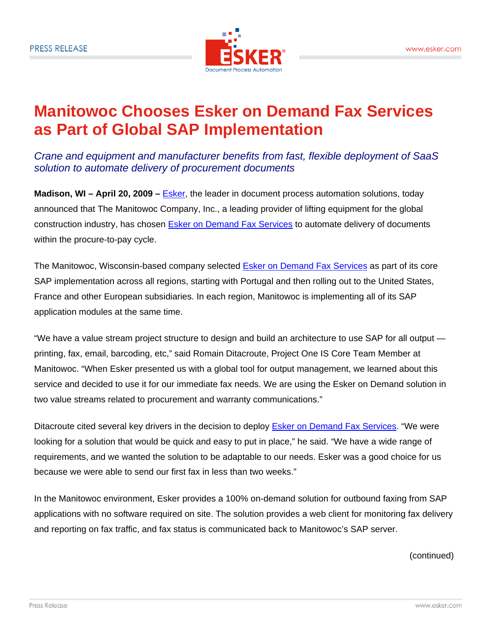

## **Manitowoc Chooses Esker on Demand Fax Services as Part of Global SAP Implementation**

*Crane and equipment and manufacturer benefits from fast, flexible deployment of SaaS solution to automate delivery of procurement documents* 

**Madison, WI – April 20, 2009 –** Esker, the leader in document process automation solutions, today announced that The Manitowoc Company, Inc., a leading provider of lifting equipment for the global construction industry, has chosen Esker on Demand Fax Services to automate delivery of documents within the procure-to-pay cycle.

The Manitowoc, Wisconsin-based company selected **Esker on Demand Fax Services** as part of its core SAP implementation across all regions, starting with Portugal and then rolling out to the United States, France and other European subsidiaries. In each region, Manitowoc is implementing all of its SAP application modules at the same time.

"We have a value stream project structure to design and build an architecture to use SAP for all output printing, fax, email, barcoding, etc," said Romain Ditacroute, Project One IS Core Team Member at Manitowoc. "When Esker presented us with a global tool for output management, we learned about this service and decided to use it for our immediate fax needs. We are using the Esker on Demand solution in two value streams related to procurement and warranty communications."

Ditacroute cited several key drivers in the decision to deploy Esker on Demand Fax Services. "We were looking for a solution that would be quick and easy to put in place," he said. "We have a wide range of requirements, and we wanted the solution to be adaptable to our needs. Esker was a good choice for us because we were able to send our first fax in less than two weeks."

In the Manitowoc environment, Esker provides a 100% on-demand solution for outbound faxing from SAP applications with no software required on site. The solution provides a web client for monitoring fax delivery and reporting on fax traffic, and fax status is communicated back to Manitowoc's SAP server.

(continued)